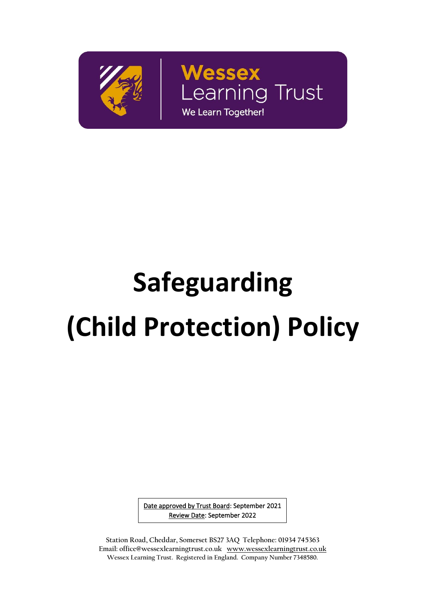

Wessex **Learning Trust** We Learn Together!

 $\overline{a}$ 

# **Safeguarding (Child Protection) Policy**

Date approved by Trust Board: September 2021 Review Date: September 2022

1 **Wessex Learning Trust. Registered in England. Company Number 7348580. Station Road, Cheddar, Somerset BS27 3AQ Telephone: 01934 745363 Email: office@wessexlearningtrust.co.uk www.wessexlearningtrust.co.uk**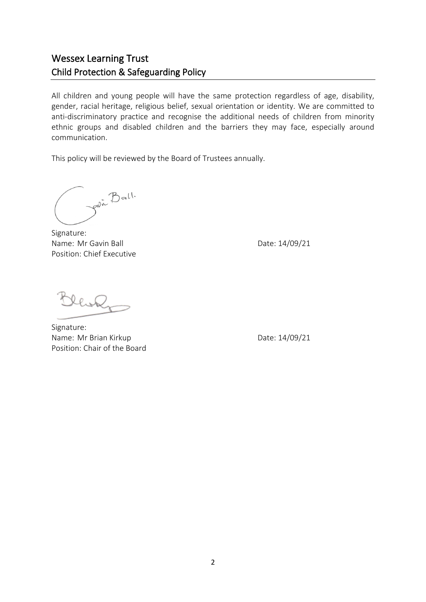## Wessex Learning Trust Child Protection & Safeguarding Policy

All children and young people will have the same protection regardless of age, disability, gender, racial heritage, religious belief, sexual orientation or identity. We are committed to anti-discriminatory practice and recognise the additional needs of children from minority ethnic groups and disabled children and the barriers they may face, especially around communication.

This policy will be reviewed by the Board of Trustees annually.

Join Ball.

Signature: Name: Mr Gavin Ball Date: 14/09/21 Position: Chief Executive

llok

Signature: Name: Mr Brian Kirkup Date: 14/09/21 Position: Chair of the Board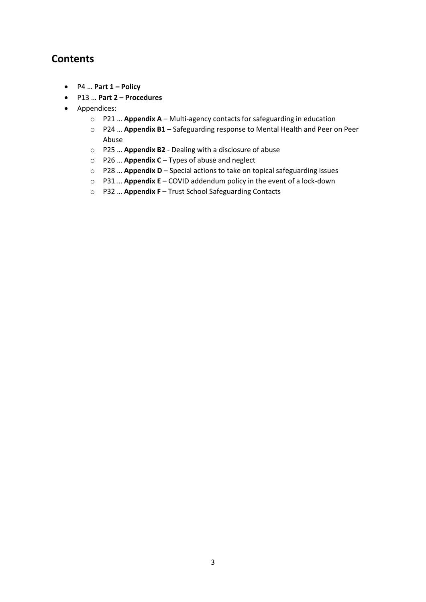## **Contents**

- P4 … **Part 1 – Policy**
- P13 … **Part 2 – Procedures**
- Appendices:
	- o P21 … **Appendix A** Multi-agency contacts for safeguarding in education
	- o P24 … **Appendix B1** Safeguarding response to Mental Health and Peer on Peer Abuse
	- o P25 … **Appendix B2** Dealing with a disclosure of abuse
	- o P26 … **Appendix C** Types of abuse and neglect
	- o P28 … **Appendix D** Special actions to take on topical safeguarding issues
	- o P31 … **Appendix E** COVID addendum policy in the event of a lock-down
	- o P32 … **Appendix F** Trust School Safeguarding Contacts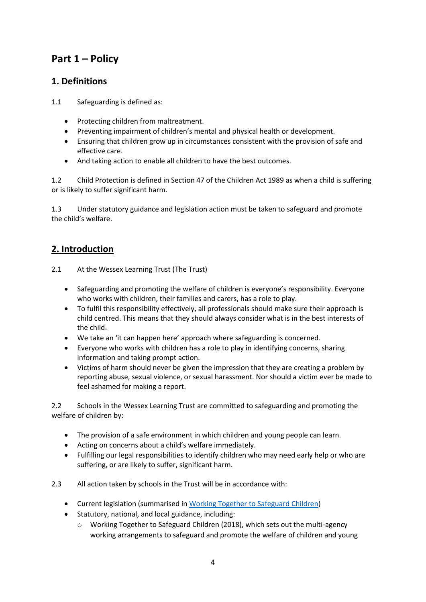## **Part 1 – Policy**

## **1. Definitions**

- 1.1 Safeguarding is defined as:
	- Protecting children from maltreatment.
	- Preventing impairment of children's mental and physical health or development.
	- Ensuring that children grow up in circumstances consistent with the provision of safe and effective care.
	- And taking action to enable all children to have the best outcomes.

1.2 Child Protection is defined in Section 47 of the Children Act 1989 as when a child is suffering or is likely to suffer significant harm.

1.3 Under statutory guidance and legislation action must be taken to safeguard and promote the child's welfare.

## **2. Introduction**

- 2.1 At the Wessex Learning Trust (The Trust)
	- Safeguarding and promoting the welfare of children is everyone's responsibility. Everyone who works with children, their families and carers, has a role to play.
	- To fulfil this responsibility effectively, all professionals should make sure their approach is child centred. This means that they should always consider what is in the best interests of the child.
	- We take an 'it can happen here' approach where safeguarding is concerned.
	- Everyone who works with children has a role to play in identifying concerns, sharing information and taking prompt action.
	- Victims of harm should never be given the impression that they are creating a problem by reporting abuse, sexual violence, or sexual harassment. Nor should a victim ever be made to feel ashamed for making a report.

2.2 Schools in the Wessex Learning Trust are committed to safeguarding and promoting the welfare of children by:

- The provision of a safe environment in which children and young people can learn.
- Acting on concerns about a child's welfare immediately.
- Fulfilling our legal responsibilities to identify children who may need early help or who are suffering, or are likely to suffer, significant harm.

2.3 All action taken by schools in the Trust will be in accordance with:

- Current legislation (summarised in [Working Together to Safeguard Children\)](https://assets.publishing.service.gov.uk/government/uploads/system/uploads/attachment_data/file/722307/Working_Together_to_Safeguard_Children_Statutory_framework.pdf)
- Statutory, national, and local guidance, including:
	- o Working Together to Safeguard Children (2018), which sets out the multi-agency working arrangements to safeguard and promote the welfare of children and young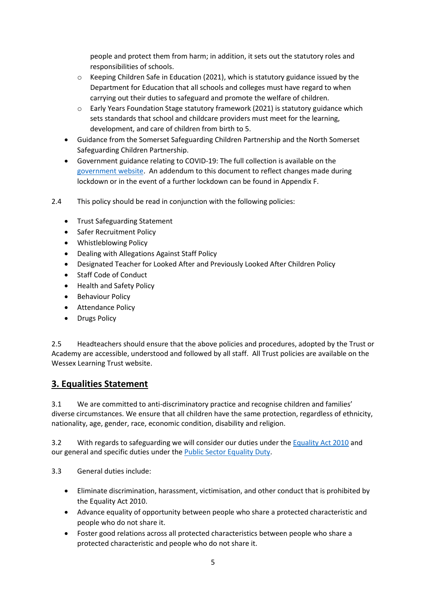people and protect them from harm; in addition, it sets out the statutory roles and responsibilities of schools.

- o Keeping Children Safe in Education (2021), which is statutory guidance issued by the Department for Education that all schools and colleges must have regard to when carrying out their duties to safeguard and promote the welfare of children.
- $\circ$  Early Years Foundation Stage statutory framework (2021) is statutory guidance which sets standards that school and childcare providers must meet for the learning, development, and care of children from birth to 5.
- Guidance from the Somerset Safeguarding Children Partnership and the North Somerset Safeguarding Children Partnership.
- Government guidance relating to COVID-19: The full collection is available on the [government website.](https://www.gov.uk/government/collections/guidance-for-schools-coronavirus-covid-19) An addendum to this document to reflect changes made during lockdown or in the event of a further lockdown can be found in Appendix F.
- 2.4 This policy should be read in conjunction with the following policies:
	- Trust Safeguarding Statement
	- Safer Recruitment Policy
	- Whistleblowing Policy
	- Dealing with Allegations Against Staff Policy
	- Designated Teacher for Looked After and Previously Looked After Children Policy
	- Staff Code of Conduct
	- Health and Safety Policy
	- Behaviour Policy
	- Attendance Policy
	- Drugs Policy

2.5 Headteachers should ensure that the above policies and procedures, adopted by the Trust or Academy are accessible, understood and followed by all staff. All Trust policies are available on the Wessex Learning Trust website.

## **3. Equalities Statement**

3.1 We are committed to anti-discriminatory practice and recognise children and families' diverse circumstances. We ensure that all children have the same protection, regardless of ethnicity, nationality, age, gender, race, economic condition, disability and religion.

3.2 With regards to safeguarding we will consider our duties under th[e Equality Act 2010](https://www.legislation.gov.uk/ukpga/2010/15/contents) and our general and specific duties under th[e Public Sector Equality Duty.](https://www.gov.uk/government/publications/public-sector-equality-duty)

3.3 General duties include:

- Eliminate discrimination, harassment, victimisation, and other conduct that is prohibited by the Equality Act 2010.
- Advance equality of opportunity between people who share a protected characteristic and people who do not share it.
- Foster good relations across all protected characteristics between people who share a protected characteristic and people who do not share it.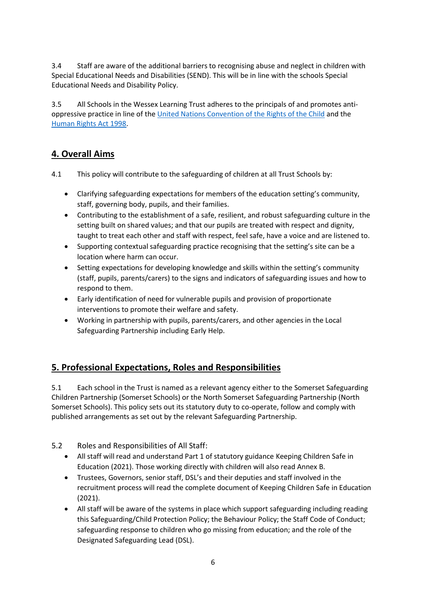3.4 Staff are aware of the additional barriers to recognising abuse and neglect in children with Special Educational Needs and Disabilities (SEND). This will be in line with the schools Special Educational Needs and Disability Policy.

3.5 All Schools in the Wessex Learning Trust adheres to the principals of and promotes antioppressive practice in line of th[e United Nations Convention of the Rights of the Child](https://www.unicef.org.uk/what-we-do/un-convention-child-rights/#:~:text=The%20United%20Nations%20Convention%20on%20the%20Rights%20of,in%20history.%20What%20makes%20the%20UNCRC%20so%20special%3F) and the [Human Rights Act 1998.](https://www.legislation.gov.uk/ukpga/1998/42?timeline=false)

## **4. Overall Aims**

- 4.1 This policy will contribute to the safeguarding of children at all Trust Schools by:
	- Clarifying safeguarding expectations for members of the education setting's community, staff, governing body, pupils, and their families.
	- Contributing to the establishment of a safe, resilient, and robust safeguarding culture in the setting built on shared values; and that our pupils are treated with respect and dignity, taught to treat each other and staff with respect, feel safe, have a voice and are listened to.
	- Supporting contextual safeguarding practice recognising that the setting's site can be a location where harm can occur.
	- Setting expectations for developing knowledge and skills within the setting's community (staff, pupils, parents/carers) to the signs and indicators of safeguarding issues and how to respond to them.
	- Early identification of need for vulnerable pupils and provision of proportionate interventions to promote their welfare and safety.
	- Working in partnership with pupils, parents/carers, and other agencies in the Local Safeguarding Partnership including Early Help.

## **5. Professional Expectations, Roles and Responsibilities**

5.1 Each school in the Trust is named as a relevant agency either to the Somerset Safeguarding Children Partnership (Somerset Schools) or the North Somerset Safeguarding Partnership (North Somerset Schools). This policy sets out its statutory duty to co-operate, follow and comply with published arrangements as set out by the relevant Safeguarding Partnership.

- 5.2 Roles and Responsibilities of All Staff:
	- All staff will read and understand Part 1 of statutory guidance Keeping Children Safe in Education (2021). Those working directly with children will also read Annex B.
	- Trustees, Governors, senior staff, DSL's and their deputies and staff involved in the recruitment process will read the complete document of Keeping Children Safe in Education (2021).
	- All staff will be aware of the systems in place which support safeguarding including reading this Safeguarding/Child Protection Policy; the Behaviour Policy; the Staff Code of Conduct; safeguarding response to children who go missing from education; and the role of the Designated Safeguarding Lead (DSL).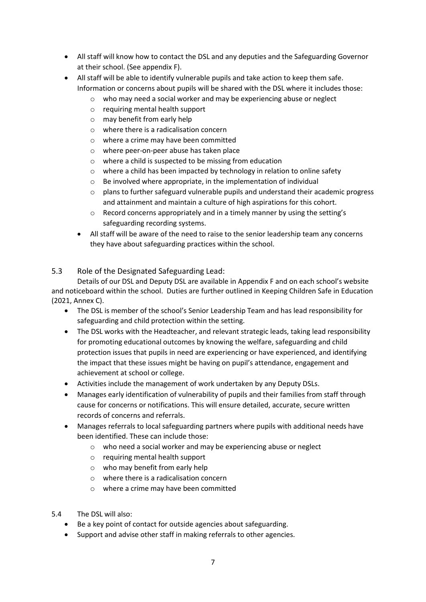- All staff will know how to contact the DSL and any deputies and the Safeguarding Governor at their school. (See appendix F).
- All staff will be able to identify vulnerable pupils and take action to keep them safe. Information or concerns about pupils will be shared with the DSL where it includes those:
	- o who may need a social worker and may be experiencing abuse or neglect
	- o requiring mental health support
	- o may benefit from early help
	- o where there is a radicalisation concern
	- o where a crime may have been committed
	- o where peer-on-peer abuse has taken place
	- o where a child is suspected to be missing from education
	- o where a child has been impacted by technology in relation to online safety
	- o Be involved where appropriate, in the implementation of individual
	- $\circ$  plans to further safeguard vulnerable pupils and understand their academic progress and attainment and maintain a culture of high aspirations for this cohort.
	- o Record concerns appropriately and in a timely manner by using the setting's safeguarding recording systems.
	- All staff will be aware of the need to raise to the senior leadership team any concerns they have about safeguarding practices within the school.

## 5.3 Role of the Designated Safeguarding Lead:

Details of our DSL and Deputy DSL are available in Appendix F and on each school's website and noticeboard within the school. Duties are further outlined in Keeping Children Safe in Education (2021, Annex C).

- The DSL is member of the school's Senior Leadership Team and has lead responsibility for safeguarding and child protection within the setting.
- The DSL works with the Headteacher, and relevant strategic leads, taking lead responsibility for promoting educational outcomes by knowing the welfare, safeguarding and child protection issues that pupils in need are experiencing or have experienced, and identifying the impact that these issues might be having on pupil's attendance, engagement and achievement at school or college.
- Activities include the management of work undertaken by any Deputy DSLs.
- Manages early identification of vulnerability of pupils and their families from staff through cause for concerns or notifications. This will ensure detailed, accurate, secure written records of concerns and referrals.
- Manages referrals to local safeguarding partners where pupils with additional needs have been identified. These can include those:
	- o who need a social worker and may be experiencing abuse or neglect
	- o requiring mental health support
	- o who may benefit from early help
	- o where there is a radicalisation concern
	- o where a crime may have been committed
- 5.4 The DSL will also:
	- Be a key point of contact for outside agencies about safeguarding.
	- Support and advise other staff in making referrals to other agencies.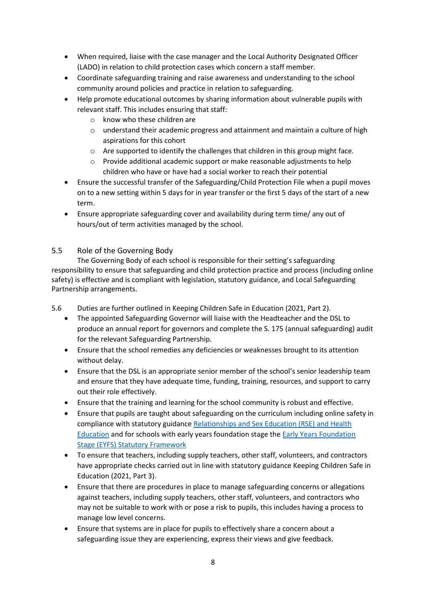- When required, liaise with the case manager and the Local Authority Designated Officer (LADO) in relation to child protection cases which concern a staff member.
- Coordinate safeguarding training and raise awareness and understanding to the school community around policies and practice in relation to safeguarding.
- Help promote educational outcomes by sharing information about vulnerable pupils with relevant staff. This includes ensuring that staff:
	- o know who these children are
	- $\circ$  understand their academic progress and attainment and maintain a culture of high aspirations for this cohort
	- o Are supported to identify the challenges that children in this group might face.
	- o Provide additional academic support or make reasonable adjustments to help children who have or have had a social worker to reach their potential
- Ensure the successful transfer of the Safeguarding/Child Protection File when a pupil moves on to a new setting within 5 days for in year transfer or the first 5 days of the start of a new term.
- Ensure appropriate safeguarding cover and availability during term time/ any out of hours/out of term activities managed by the school.

## 5.5 Role of the Governing Body

The Governing Body of each school is responsible for their setting's safeguarding responsibility to ensure that safeguarding and child protection practice and process (including online safety) is effective and is compliant with legislation, statutory guidance, and Local Safeguarding Partnership arrangements.

5.6 Duties are further outlined in Keeping Children Safe in Education (2021, Part 2).

- The appointed Safeguarding Governor will liaise with the Headteacher and the DSL to produce an annual report for governors and complete the S. 175 (annual safeguarding) audit for the relevant Safeguarding Partnership.
- Ensure that the school remedies any deficiencies or weaknesses brought to its attention without delay.
- Ensure that the DSL is an appropriate senior member of the school's senior leadership team and ensure that they have adequate time, funding, training, resources, and support to carry out their role effectively.
- Ensure that the training and learning for the school community is robust and effective.
- Ensure that pupils are taught about safeguarding on the curriculum including online safety in compliance with statutory guidanc[e Relationships and Sex Education \(RSE\) and Health](https://www.gov.uk/government/publications/relationships-education-relationships-and-sex-education-rse-and-health-education)  [Education](https://www.gov.uk/government/publications/relationships-education-relationships-and-sex-education-rse-and-health-education) and for schools with early years foundation stage th[e Early Years Foundation](https://www.gov.uk/government/publications/early-years-foundation-stage-framework--2)  [Stage \(EYFS\) Statutory Framework](https://www.gov.uk/government/publications/early-years-foundation-stage-framework--2)
- To ensure that teachers, including supply teachers, other staff, volunteers, and contractors have appropriate checks carried out in line with statutory guidance Keeping Children Safe in Education (2021, Part 3).
- Ensure that there are procedures in place to manage safeguarding concerns or allegations against teachers, including supply teachers, other staff, volunteers, and contractors who may not be suitable to work with or pose a risk to pupils, this includes having a process to manage low level concerns.
- Ensure that systems are in place for pupils to effectively share a concern about a safeguarding issue they are experiencing, express their views and give feedback.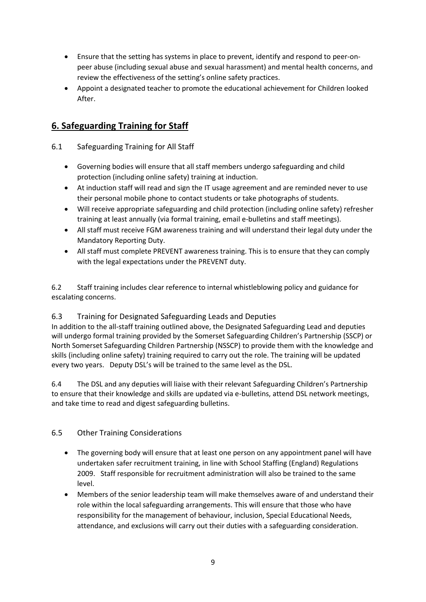- Ensure that the setting has systems in place to prevent, identify and respond to peer-onpeer abuse (including sexual abuse and sexual harassment) and mental health concerns, and review the effectiveness of the setting's online safety practices.
- Appoint a designated teacher to promote the educational achievement for Children looked After.

## **6. Safeguarding Training for Staff**

## 6.1 Safeguarding Training for All Staff

- Governing bodies will ensure that all staff members undergo safeguarding and child protection (including online safety) training at induction.
- At induction staff will read and sign the IT usage agreement and are reminded never to use their personal mobile phone to contact students or take photographs of students.
- Will receive appropriate safeguarding and child protection (including online safety) refresher training at least annually (via formal training, email e-bulletins and staff meetings).
- All staff must receive FGM awareness training and will understand their legal duty under the Mandatory Reporting Duty.
- All staff must complete PREVENT awareness training. This is to ensure that they can comply with the legal expectations under the PREVENT duty.

6.2 Staff training includes clear reference to internal whistleblowing policy and guidance for escalating concerns.

## 6.3 Training for Designated Safeguarding Leads and Deputies

In addition to the all-staff training outlined above, the Designated Safeguarding Lead and deputies will undergo formal training provided by the Somerset Safeguarding Children's Partnership (SSCP) or North Somerset Safeguarding Children Partnership (NSSCP) to provide them with the knowledge and skills (including online safety) training required to carry out the role. The training will be updated every two years. Deputy DSL's will be trained to the same level as the DSL.

6.4 The DSL and any deputies will liaise with their relevant Safeguarding Children's Partnership to ensure that their knowledge and skills are updated via e-bulletins, attend DSL network meetings, and take time to read and digest safeguarding bulletins.

## 6.5 Other Training Considerations

- The governing body will ensure that at least one person on any appointment panel will have undertaken safer recruitment training, in line with School Staffing (England) Regulations 2009. Staff responsible for recruitment administration will also be trained to the same level.
- Members of the senior leadership team will make themselves aware of and understand their role within the local safeguarding arrangements. This will ensure that those who have responsibility for the management of behaviour, inclusion, Special Educational Needs, attendance, and exclusions will carry out their duties with a safeguarding consideration.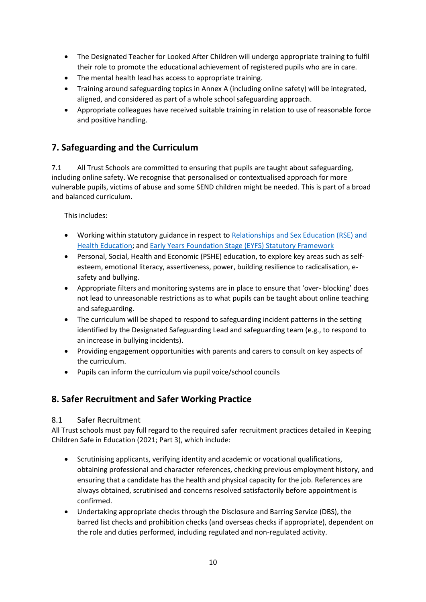- The Designated Teacher for Looked After Children will undergo appropriate training to fulfil their role to promote the educational achievement of registered pupils who are in care.
- The mental health lead has access to appropriate training.
- Training around safeguarding topics in Annex A (including online safety) will be integrated, aligned, and considered as part of a whole school safeguarding approach.
- Appropriate colleagues have received suitable training in relation to use of reasonable force and positive handling.

## **7. Safeguarding and the Curriculum**

7.1 All Trust Schools are committed to ensuring that pupils are taught about safeguarding, including online safety. We recognise that personalised or contextualised approach for more vulnerable pupils, victims of abuse and some SEND children might be needed. This is part of a broad and balanced curriculum.

This includes:

- Working within statutory guidance in respect to [Relationships and Sex Education \(RSE\) and](https://www.gov.uk/government/publications/relationships-education-relationships-and-sex-education-rse-and-health-education)  [Health Education;](https://www.gov.uk/government/publications/relationships-education-relationships-and-sex-education-rse-and-health-education) an[d Early Years Foundation Stage \(EYFS\) Statutory Framework](https://www.gov.uk/government/publications/early-years-foundation-stage-framework--2)
- Personal, Social, Health and Economic (PSHE) education, to explore key areas such as selfesteem, emotional literacy, assertiveness, power, building resilience to radicalisation, esafety and bullying.
- Appropriate filters and monitoring systems are in place to ensure that 'over- blocking' does not lead to unreasonable restrictions as to what pupils can be taught about online teaching and safeguarding.
- The curriculum will be shaped to respond to safeguarding incident patterns in the setting identified by the Designated Safeguarding Lead and safeguarding team (e.g., to respond to an increase in bullying incidents).
- Providing engagement opportunities with parents and carers to consult on key aspects of the curriculum.
- Pupils can inform the curriculum via pupil voice/school councils

## **8. Safer Recruitment and Safer Working Practice**

### 8.1 Safer Recruitment

All Trust schools must pay full regard to the required safer recruitment practices detailed in Keeping Children Safe in Education (2021; Part 3), which include:

- Scrutinising applicants, verifying identity and academic or vocational qualifications, obtaining professional and character references, checking previous employment history, and ensuring that a candidate has the health and physical capacity for the job. References are always obtained, scrutinised and concerns resolved satisfactorily before appointment is confirmed.
- Undertaking appropriate checks through the Disclosure and Barring Service (DBS), the barred list checks and prohibition checks (and overseas checks if appropriate), dependent on the role and duties performed, including regulated and non-regulated activity.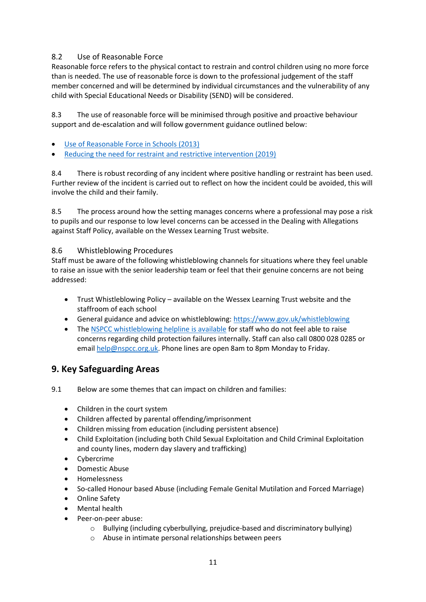## 8.2 Use of Reasonable Force

Reasonable force refers to the physical contact to restrain and control children using no more force than is needed. The use of reasonable force is down to the professional judgement of the staff member concerned and will be determined by individual circumstances and the vulnerability of any child with Special Educational Needs or Disability (SEND) will be considered.

8.3 The use of reasonable force will be minimised through positive and proactive behaviour support and de-escalation and will follow government guidance outlined below:

- [Use of Reasonable Force in Schools \(2013\)](https://www.gov.uk/government/publications/use-of-reasonable-force-in-schools)
- [Reducing the need for restraint and restrictive intervention \(2019\)](https://www.gov.uk/government/publications/reducing-the-need-for-restraint-and-restrictive-intervention)

8.4 There is robust recording of any incident where positive handling or restraint has been used. Further review of the incident is carried out to reflect on how the incident could be avoided, this will involve the child and their family.

8.5 The process around how the setting manages concerns where a professional may pose a risk to pupils and our response to low level concerns can be accessed in the Dealing with Allegations against Staff Policy, available on the Wessex Learning Trust website.

### 8.6 Whistleblowing Procedures

Staff must be aware of the following whistleblowing channels for situations where they feel unable to raise an issue with the senior leadership team or feel that their genuine concerns are not being addressed:

- Trust Whistleblowing Policy available on the Wessex Learning Trust website and the staffroom of each school
- General guidance and advice on whistleblowing:<https://www.gov.uk/whistleblowing>
- The [NSPCC whistleblowing helpline is available](https://www.nspcc.org.uk/what-you-can-do/report-abuse/dedicated-helplines/whistleblowing-advice-line/) for staff who do not feel able to raise concerns regarding child protection failures internally. Staff can also call 0800 028 0285 or email [help@nspcc.org.uk.](mailto:help@nspcc.org.uk) Phone lines are open 8am to 8pm Monday to Friday.

## **9. Key Safeguarding Areas**

- 9.1 Below are some themes that can impact on children and families:
	- Children in the court system
	- Children affected by parental offending/imprisonment
	- Children missing from education (including persistent absence)
	- Child Exploitation (including both Child Sexual Exploitation and Child Criminal Exploitation and county lines, modern day slavery and trafficking)
	- Cybercrime
	- Domestic Abuse
	- Homelessness
	- So-called Honour based Abuse (including Female Genital Mutilation and Forced Marriage)
	- Online Safety
	- Mental health
	- Peer-on-peer abuse:
		- o Bullying (including cyberbullying, prejudice-based and discriminatory bullying)
		- o Abuse in intimate personal relationships between peers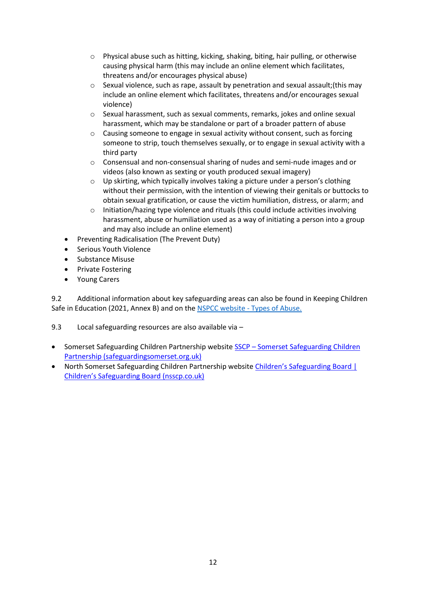- $\circ$  Physical abuse such as hitting, kicking, shaking, biting, hair pulling, or otherwise causing physical harm (this may include an online element which facilitates, threatens and/or encourages physical abuse)
- $\circ$  Sexual violence, such as rape, assault by penetration and sexual assault; (this may include an online element which facilitates, threatens and/or encourages sexual violence)
- $\circ$  Sexual harassment, such as sexual comments, remarks, jokes and online sexual harassment, which may be standalone or part of a broader pattern of abuse
- o Causing someone to engage in sexual activity without consent, such as forcing someone to strip, touch themselves sexually, or to engage in sexual activity with a third party
- $\circ$  Consensual and non-consensual sharing of nudes and semi-nude images and or videos (also known as sexting or youth produced sexual imagery)
- o Up skirting, which typically involves taking a picture under a person's clothing without their permission, with the intention of viewing their genitals or buttocks to obtain sexual gratification, or cause the victim humiliation, distress, or alarm; and
- $\circ$  Initiation/hazing type violence and rituals (this could include activities involving harassment, abuse or humiliation used as a way of initiating a person into a group and may also include an online element)
- Preventing Radicalisation (The Prevent Duty)
- Serious Youth Violence
- Substance Misuse
- Private Fostering
- Young Carers

9.2 Additional information about key safeguarding areas can also be found in Keeping Children Safe in Education (2021, Annex B) and on th[e NSPCC website -](https://www.nspcc.org.uk/what-is-child-abuse/types-of-abuse/) Types of Abuse.

9.3 Local safeguarding resources are also available via –

- [Somerset Safeguarding Children](https://sscb.safeguardingsomerset.org.uk/) Partnership website SSCP Somerset Safeguarding Children [Partnership \(safeguardingsomerset.org.uk\)](https://sscb.safeguardingsomerset.org.uk/)
- North Somerset Safeguarding Children Partnership website Children's [Safeguarding Board |](https://www.nsscp.co.uk/)  Children's [Safeguarding Board \(nsscp.co.uk\)](https://www.nsscp.co.uk/)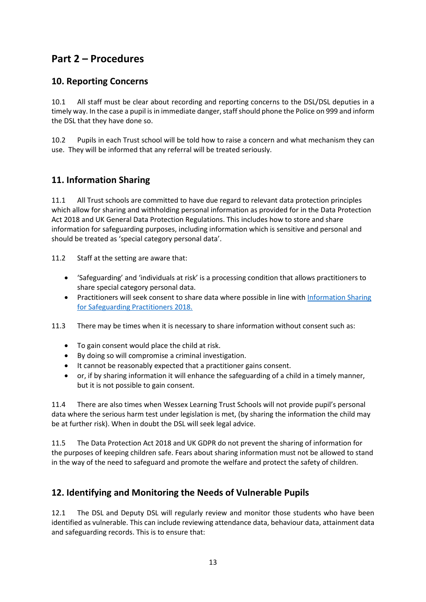## **Part 2 – Procedures**

## **10. Reporting Concerns**

10.1 All staff must be clear about recording and reporting concerns to the DSL/DSL deputies in a timely way. In the case a pupil is in immediate danger, staff should phone the Police on 999 and inform the DSL that they have done so.

10.2 Pupils in each Trust school will be told how to raise a concern and what mechanism they can use. They will be informed that any referral will be treated seriously.

## **11. Information Sharing**

11.1 All Trust schools are committed to have due regard to relevant data protection principles which allow for sharing and withholding personal information as provided for in the Data Protection Act 2018 and UK General Data Protection Regulations. This includes how to store and share information for safeguarding purposes, including information which is sensitive and personal and should be treated as 'special category personal data'.

11.2 Staff at the setting are aware that:

- 'Safeguarding' and 'individuals at risk' is a processing condition that allows practitioners to share special category personal data.
- Practitioners will seek consent to share data where possible in line wit[h Information Sharing](https://assets.publishing.service.gov.uk/government/uploads/system/uploads/attachment_data/file/721581/Information_sharing_advice_practitioners_safeguarding_services.pdf)  [for Safeguarding Practitioners 2018.](https://assets.publishing.service.gov.uk/government/uploads/system/uploads/attachment_data/file/721581/Information_sharing_advice_practitioners_safeguarding_services.pdf)
- 11.3 There may be times when it is necessary to share information without consent such as:
	- To gain consent would place the child at risk.
	- By doing so will compromise a criminal investigation.
	- It cannot be reasonably expected that a practitioner gains consent.
	- or, if by sharing information it will enhance the safeguarding of a child in a timely manner, but it is not possible to gain consent.

11.4 There are also times when Wessex Learning Trust Schools will not provide pupil's personal data where the serious harm test under legislation is met, (by sharing the information the child may be at further risk). When in doubt the DSL will seek legal advice.

11.5 The Data Protection Act 2018 and UK GDPR do not prevent the sharing of information for the purposes of keeping children safe. Fears about sharing information must not be allowed to stand in the way of the need to safeguard and promote the welfare and protect the safety of children.

## **12. Identifying and Monitoring the Needs of Vulnerable Pupils**

12.1 The DSL and Deputy DSL will regularly review and monitor those students who have been identified as vulnerable. This can include reviewing attendance data, behaviour data, attainment data and safeguarding records. This is to ensure that: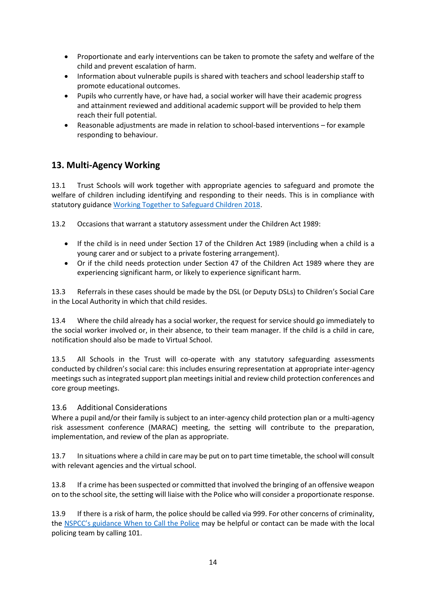- Proportionate and early interventions can be taken to promote the safety and welfare of the child and prevent escalation of harm.
- Information about vulnerable pupils is shared with teachers and school leadership staff to promote educational outcomes.
- Pupils who currently have, or have had, a social worker will have their academic progress and attainment reviewed and additional academic support will be provided to help them reach their full potential.
- Reasonable adjustments are made in relation to school-based interventions for example responding to behaviour.

## **13. Multi-Agency Working**

13.1 Trust Schools will work together with appropriate agencies to safeguard and promote the welfare of children including identifying and responding to their needs. This is in compliance with statutory guidanc[e Working Together to Safeguard Children 2018.](https://assets.publishing.service.gov.uk/government/uploads/system/uploads/attachment_data/file/779401/Working_Together_to_Safeguard-Children.pdf)

13.2 Occasions that warrant a statutory assessment under the Children Act 1989:

- If the child is in need under Section 17 of the Children Act 1989 (including when a child is a young carer and or subject to a private fostering arrangement).
- Or if the child needs protection under Section 47 of the Children Act 1989 where they are experiencing significant harm, or likely to experience significant harm.

13.3 Referrals in these cases should be made by the DSL (or Deputy DSLs) to Children's Social Care in the Local Authority in which that child resides.

13.4 Where the child already has a social worker, the request for service should go immediately to the social worker involved or, in their absence, to their team manager. If the child is a child in care, notification should also be made to Virtual School.

13.5 All Schools in the Trust will co-operate with any statutory safeguarding assessments conducted by children's social care: this includes ensuring representation at appropriate inter-agency meetings such as integrated support plan meetings initial and review child protection conferences and core group meetings.

### 13.6 Additional Considerations

Where a pupil and/or their family is subject to an inter-agency child protection plan or a multi-agency risk assessment conference (MARAC) meeting, the setting will contribute to the preparation, implementation, and review of the plan as appropriate.

13.7 In situations where a child in care may be put on to part time timetable, the school will consult with relevant agencies and the virtual school.

13.8 If a crime has been suspected or committed that involved the bringing of an offensive weapon on to the school site, the setting will liaise with the Police who will consider a proportionate response.

13.9 If there is a risk of harm, the police should be called via 999. For other concerns of criminality, the NSPCC's [guidance When to Call the Police](https://www.npcc.police.uk/documents/Children%20and%20Young%20people/When%20to%20call%20the%20police%20guidance%20for%20schools%20and%20colleges.pdf) may be helpful or contact can be made with the local policing team by calling 101.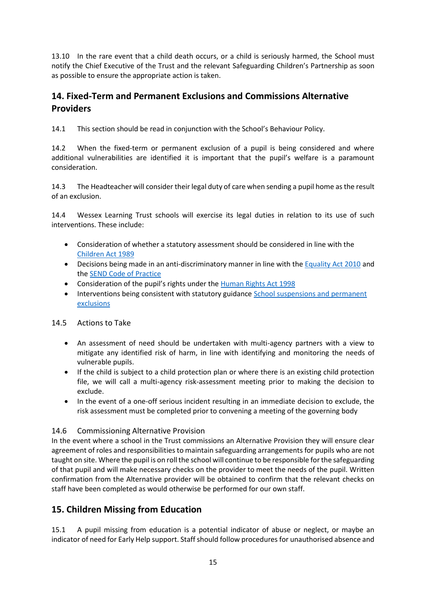13.10 In the rare event that a child death occurs, or a child is seriously harmed, the School must notify the Chief Executive of the Trust and the relevant Safeguarding Children's Partnership as soon as possible to ensure the appropriate action is taken.

## **14. Fixed-Term and Permanent Exclusions and Commissions Alternative Providers**

14.1 This section should be read in conjunction with the School's Behaviour Policy.

14.2 When the fixed-term or permanent exclusion of a pupil is being considered and where additional vulnerabilities are identified it is important that the pupil's welfare is a paramount consideration.

14.3 The Headteacher will consider their legal duty of care when sending a pupil home as the result of an exclusion.

14.4 Wessex Learning Trust schools will exercise its legal duties in relation to its use of such interventions. These include:

- Consideration of whether a statutory assessment should be considered in line with the [Children Act 1989](https://www.legislation.gov.uk/ukpga/1989/41/contents)
- Decisions being made in an anti-discriminatory manner in line with the [Equality Act 2010](https://www.legislation.gov.uk/ukpga/2010/15/contents) and the [SEND Code of Practice](https://www.gov.uk/government/publications/send-code-of-practice-0-to-25)
- Consideration of the pupil's rights under the [Human Rights Act 1998](https://www.legislation.gov.uk/ukpga/1998/42/contents)
- Interventions being consistent with statutory guidance School suspensions and permanent [exclusions](https://www.gov.uk/government/publications/school-exclusion)

## 14.5 Actions to Take

- An assessment of need should be undertaken with multi-agency partners with a view to mitigate any identified risk of harm, in line with identifying and monitoring the needs of vulnerable pupils.
- If the child is subject to a child protection plan or where there is an existing child protection file, we will call a multi-agency risk-assessment meeting prior to making the decision to exclude.
- In the event of a one-off serious incident resulting in an immediate decision to exclude, the risk assessment must be completed prior to convening a meeting of the governing body

## 14.6 Commissioning Alternative Provision

In the event where a school in the Trust commissions an Alternative Provision they will ensure clear agreement of roles and responsibilities to maintain safeguarding arrangements for pupils who are not taught on site. Where the pupil is on roll the school will continue to be responsible for the safeguarding of that pupil and will make necessary checks on the provider to meet the needs of the pupil. Written confirmation from the Alternative provider will be obtained to confirm that the relevant checks on staff have been completed as would otherwise be performed for our own staff.

## **15. Children Missing from Education**

15.1 A pupil missing from education is a potential indicator of abuse or neglect, or maybe an indicator of need for Early Help support. Staff should follow procedures for unauthorised absence and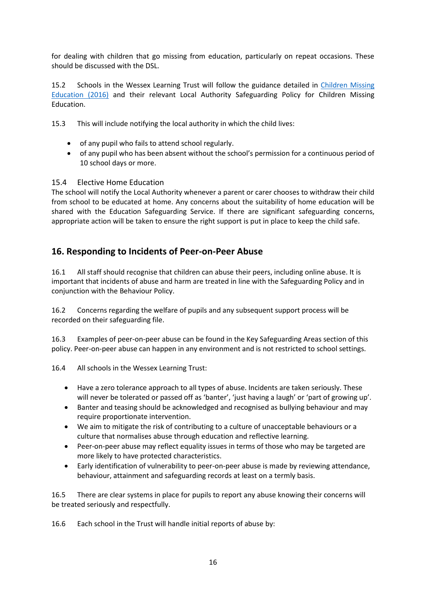for dealing with children that go missing from education, particularly on repeat occasions. These should be discussed with the DSL.

15.2 Schools in the Wessex Learning Trust will follow the guidance detailed in [Children Missing](https://www.gov.uk/government/publications/children-missing-education)  [Education \(2016\)](https://www.gov.uk/government/publications/children-missing-education) and their relevant Local Authority Safeguarding Policy for Children Missing Education.

15.3 This will include notifying the local authority in which the child lives:

- of any pupil who fails to attend school regularly.
- of any pupil who has been absent without the school's permission for a continuous period of 10 school days or more.

### 15.4 Elective Home Education

The school will notify the Local Authority whenever a parent or carer chooses to withdraw their child from school to be educated at home. Any concerns about the suitability of home education will be shared with the Education Safeguarding Service. If there are significant safeguarding concerns, appropriate action will be taken to ensure the right support is put in place to keep the child safe.

## **16. Responding to Incidents of Peer-on-Peer Abuse**

16.1 All staff should recognise that children can abuse their peers, including online abuse. It is important that incidents of abuse and harm are treated in line with the Safeguarding Policy and in conjunction with the Behaviour Policy.

16.2 Concerns regarding the welfare of pupils and any subsequent support process will be recorded on their safeguarding file.

16.3 Examples of peer-on-peer abuse can be found in the Key Safeguarding Areas section of this policy. Peer-on-peer abuse can happen in any environment and is not restricted to school settings.

16.4 All schools in the Wessex Learning Trust:

- Have a zero tolerance approach to all types of abuse. Incidents are taken seriously. These will never be tolerated or passed off as 'banter', 'just having a laugh' or 'part of growing up'.
- Banter and teasing should be acknowledged and recognised as bullying behaviour and may require proportionate intervention.
- We aim to mitigate the risk of contributing to a culture of unacceptable behaviours or a culture that normalises abuse through education and reflective learning.
- Peer-on-peer abuse may reflect equality issues in terms of those who may be targeted are more likely to have protected characteristics.
- Early identification of vulnerability to peer-on-peer abuse is made by reviewing attendance, behaviour, attainment and safeguarding records at least on a termly basis.

16.5 There are clear systems in place for pupils to report any abuse knowing their concerns will be treated seriously and respectfully.

16.6 Each school in the Trust will handle initial reports of abuse by: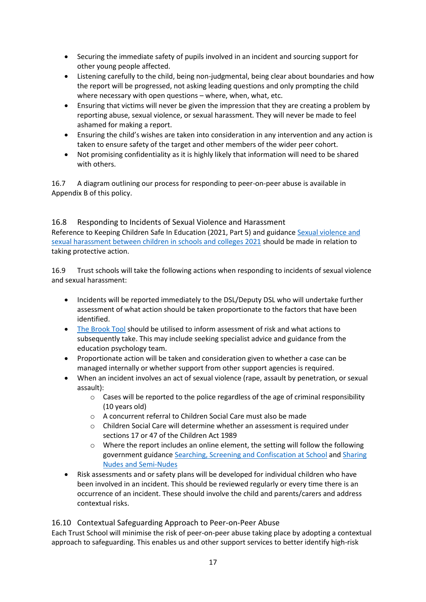- Securing the immediate safety of pupils involved in an incident and sourcing support for other young people affected.
- Listening carefully to the child, being non-judgmental, being clear about boundaries and how the report will be progressed, not asking leading questions and only prompting the child where necessary with open questions – where, when, what, etc.
- Ensuring that victims will never be given the impression that they are creating a problem by reporting abuse, sexual violence, or sexual harassment. They will never be made to feel ashamed for making a report.
- Ensuring the child's wishes are taken into consideration in any intervention and any action is taken to ensure safety of the target and other members of the wider peer cohort.
- Not promising confidentiality as it is highly likely that information will need to be shared with others.

16.7 A diagram outlining our process for responding to peer-on-peer abuse is available in Appendix B of this policy.

## 16.8 Responding to Incidents of Sexual Violence and Harassment

Reference to Keeping Children Safe In Education (2021, Part 5) and guidanc[e Sexual violence and](https://www.gov.uk/government/publications/sexual-violence-and-sexual-harassment-between-children-in-schools-and-colleges)  [sexual harassment between children in schools and colleges 2021](https://www.gov.uk/government/publications/sexual-violence-and-sexual-harassment-between-children-in-schools-and-colleges) should be made in relation to taking protective action.

16.9 Trust schools will take the following actions when responding to incidents of sexual violence and sexual harassment:

- Incidents will be reported immediately to the DSL/Deputy DSL who will undertake further assessment of what action should be taken proportionate to the factors that have been identified.
- [The Brook Tool](https://www.brook.org.uk/training/wider-professional-training/sexual-behaviours-traffic-light-tool/) should be utilised to inform assessment of risk and what actions to subsequently take. This may include seeking specialist advice and guidance from the education psychology team.
- Proportionate action will be taken and consideration given to whether a case can be managed internally or whether support from other support agencies is required.
- When an incident involves an act of sexual violence (rape, assault by penetration, or sexual assault):
	- $\circ$  Cases will be reported to the police regardless of the age of criminal responsibility (10 years old)
	- o A concurrent referral to Children Social Care must also be made
	- o Children Social Care will determine whether an assessment is required under sections 17 or 47 of the Children Act 1989
	- $\circ$  Where the report includes an online element, the setting will follow the following government guidance [Searching, Screening and Confiscation at School](https://www.gov.uk/government/publications/searching-screening-and-confiscation) and [Sharing](https://www.gov.uk/government/publications/sharing-nudes-and-semi-nudes-advice-for-education-settings-working-with-children-and-young-people)  [Nudes and Semi-Nudes](https://www.gov.uk/government/publications/sharing-nudes-and-semi-nudes-advice-for-education-settings-working-with-children-and-young-people)
- Risk assessments and or safety plans will be developed for individual children who have been involved in an incident. This should be reviewed regularly or every time there is an occurrence of an incident. These should involve the child and parents/carers and address contextual risks.

### 16.10 Contextual Safeguarding Approach to Peer-on-Peer Abuse

Each Trust School will minimise the risk of peer-on-peer abuse taking place by adopting a contextual approach to safeguarding. This enables us and other support services to better identify high-risk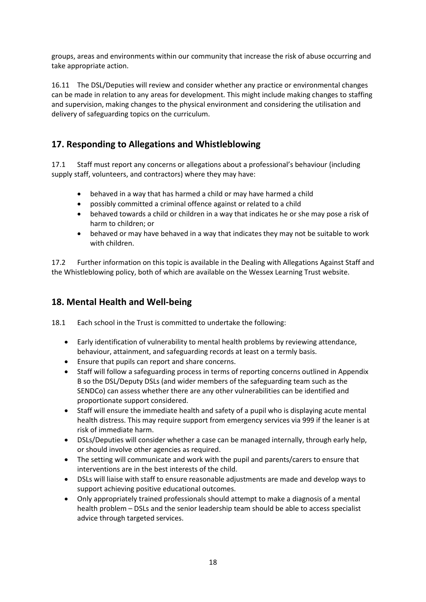groups, areas and environments within our community that increase the risk of abuse occurring and take appropriate action.

16.11 The DSL/Deputies will review and consider whether any practice or environmental changes can be made in relation to any areas for development. This might include making changes to staffing and supervision, making changes to the physical environment and considering the utilisation and delivery of safeguarding topics on the curriculum.

## **17. Responding to Allegations and Whistleblowing**

17.1 Staff must report any concerns or allegations about a professional's behaviour (including supply staff, volunteers, and contractors) where they may have:

- behaved in a way that has harmed a child or may have harmed a child
- possibly committed a criminal offence against or related to a child
- behaved towards a child or children in a way that indicates he or she may pose a risk of harm to children; or
- behaved or may have behaved in a way that indicates they may not be suitable to work with children.

17.2 Further information on this topic is available in the Dealing with Allegations Against Staff and the Whistleblowing policy, both of which are available on the Wessex Learning Trust website.

## **18. Mental Health and Well-being**

18.1 Each school in the Trust is committed to undertake the following:

- Early identification of vulnerability to mental health problems by reviewing attendance, behaviour, attainment, and safeguarding records at least on a termly basis.
- Ensure that pupils can report and share concerns.
- Staff will follow a safeguarding process in terms of reporting concerns outlined in Appendix B so the DSL/Deputy DSLs (and wider members of the safeguarding team such as the SENDCo) can assess whether there are any other vulnerabilities can be identified and proportionate support considered.
- Staff will ensure the immediate health and safety of a pupil who is displaying acute mental health distress. This may require support from emergency services via 999 if the leaner is at risk of immediate harm.
- DSLs/Deputies will consider whether a case can be managed internally, through early help, or should involve other agencies as required.
- The setting will communicate and work with the pupil and parents/carers to ensure that interventions are in the best interests of the child.
- DSLs will liaise with staff to ensure reasonable adjustments are made and develop ways to support achieving positive educational outcomes.
- Only appropriately trained professionals should attempt to make a diagnosis of a mental health problem – DSLs and the senior leadership team should be able to access specialist advice through targeted services.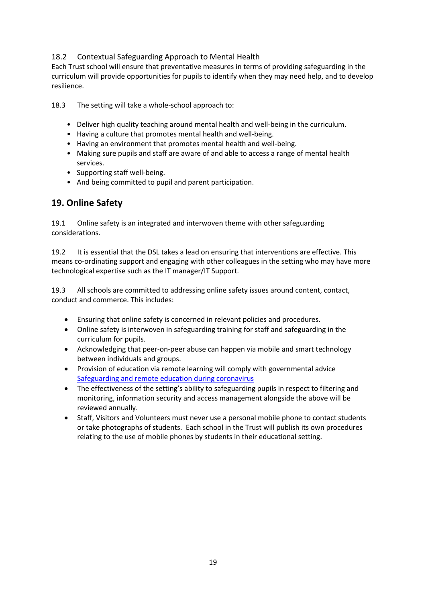## 18.2 Contextual Safeguarding Approach to Mental Health

Each Trust school will ensure that preventative measures in terms of providing safeguarding in the curriculum will provide opportunities for pupils to identify when they may need help, and to develop resilience.

18.3 The setting will take a whole-school approach to:

- Deliver high quality teaching around mental health and well-being in the curriculum.
- Having a culture that promotes mental health and well-being.
- Having an environment that promotes mental health and well-being.
- Making sure pupils and staff are aware of and able to access a range of mental health services.
- Supporting staff well-being.
- And being committed to pupil and parent participation.

## **19. Online Safety**

19.1 Online safety is an integrated and interwoven theme with other safeguarding considerations.

19.2 It is essential that the DSL takes a lead on ensuring that interventions are effective. This means co-ordinating support and engaging with other colleagues in the setting who may have more technological expertise such as the IT manager/IT Support.

19.3 All schools are committed to addressing online safety issues around content, contact, conduct and commerce. This includes:

- Ensuring that online safety is concerned in relevant policies and procedures.
- Online safety is interwoven in safeguarding training for staff and safeguarding in the curriculum for pupils.
- Acknowledging that peer-on-peer abuse can happen via mobile and smart technology between individuals and groups.
- Provision of education via remote learning will comply with governmental advice [Safeguarding and remote education during coronavirus](https://www.gov.uk/guidance/safeguarding-and-remote-education-during-coronavirus-covid-19)
- The effectiveness of the setting's ability to safeguarding pupils in respect to filtering and monitoring, information security and access management alongside the above will be reviewed annually.
- Staff, Visitors and Volunteers must never use a personal mobile phone to contact students or take photographs of students. Each school in the Trust will publish its own procedures relating to the use of mobile phones by students in their educational setting.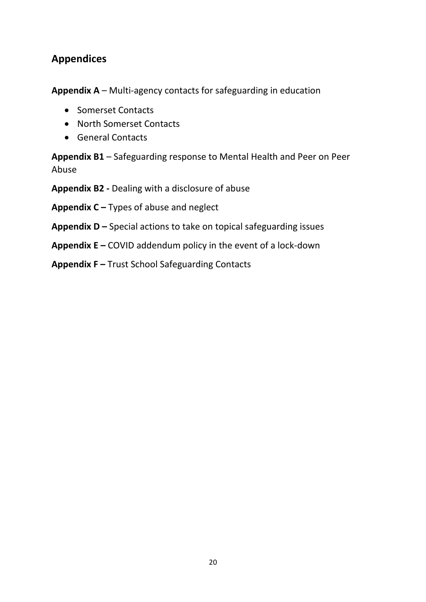## **Appendices**

**Appendix A** – Multi-agency contacts for safeguarding in education

- Somerset Contacts
- North Somerset Contacts
- General Contacts

**Appendix B1** – Safeguarding response to Mental Health and Peer on Peer Abuse

**Appendix B2 -** Dealing with a disclosure of abuse

**Appendix C –** Types of abuse and neglect

**Appendix D –** Special actions to take on topical safeguarding issues

**Appendix E –** COVID addendum policy in the event of a lock-down

**Appendix F –** Trust School Safeguarding Contacts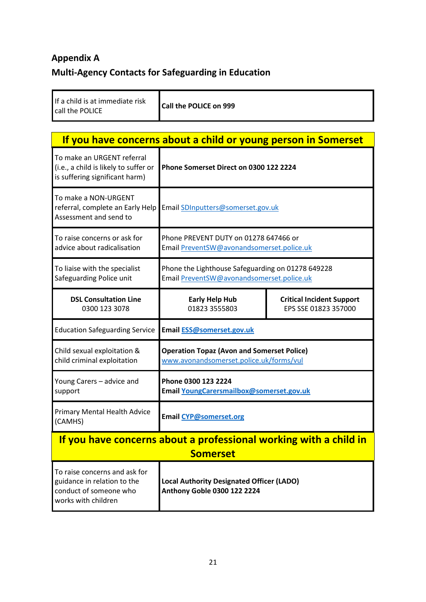# **Appendix A Multi-Agency Contacts for Safeguarding in Education**

| If a child is at immediate risk |  |  |
|---------------------------------|--|--|
| call the POLICE                 |  |  |

call the POLICE **Call the POLICE on 999**

| If you have concerns about a child or young person in Somerset                                                |                                                                                                |                                                          |  |  |  |
|---------------------------------------------------------------------------------------------------------------|------------------------------------------------------------------------------------------------|----------------------------------------------------------|--|--|--|
| To make an URGENT referral<br>(i.e., a child is likely to suffer or<br>is suffering significant harm)         | Phone Somerset Direct on 0300 122 2224                                                         |                                                          |  |  |  |
| To make a NON-URGENT<br>referral, complete an Early Help<br>Assessment and send to                            | Email SDInputters@somerset.gov.uk                                                              |                                                          |  |  |  |
| To raise concerns or ask for<br>advice about radicalisation                                                   | Phone PREVENT DUTY on 01278 647466 or<br>Email PreventSW@avonandsomerset.police.uk             |                                                          |  |  |  |
| To liaise with the specialist<br>Safeguarding Police unit                                                     | Phone the Lighthouse Safeguarding on 01278 649228<br>Email PreventSW@avonandsomerset.police.uk |                                                          |  |  |  |
| <b>DSL Consultation Line</b><br>0300 123 3078                                                                 | <b>Early Help Hub</b><br>01823 3555803                                                         | <b>Critical Incident Support</b><br>EPS SSE 01823 357000 |  |  |  |
| <b>Education Safeguarding Service</b>                                                                         | Email ESS@somerset.gov.uk                                                                      |                                                          |  |  |  |
| Child sexual exploitation &<br>child criminal exploitation                                                    | <b>Operation Topaz (Avon and Somerset Police)</b><br>www.avonandsomerset.police.uk/forms/vul   |                                                          |  |  |  |
| Young Carers - advice and<br>support                                                                          | Phone 0300 123 2224<br>Email YoungCarersmailbox@somerset.gov.uk                                |                                                          |  |  |  |
| Primary Mental Health Advice<br>(CAMHS)                                                                       | Email CYP@somerset.org                                                                         |                                                          |  |  |  |
|                                                                                                               | If you have concerns about a professional working with a child in                              |                                                          |  |  |  |
|                                                                                                               | <b>Somerset</b>                                                                                |                                                          |  |  |  |
| To raise concerns and ask for<br>guidance in relation to the<br>conduct of someone who<br>works with children | <b>Local Authority Designated Officer (LADO)</b><br>Anthony Goble 0300 122 2224                |                                                          |  |  |  |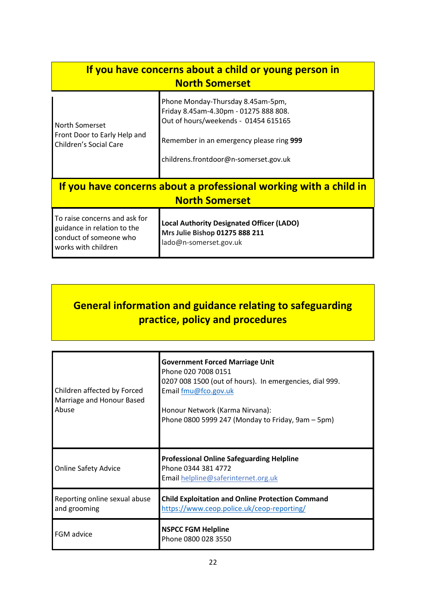| If you have concerns about a child or young person in<br><b>North Somerset</b>                                |                                                                                                                                                                                                         |  |  |  |
|---------------------------------------------------------------------------------------------------------------|---------------------------------------------------------------------------------------------------------------------------------------------------------------------------------------------------------|--|--|--|
| North Somerset<br>Front Door to Early Help and<br><b>Children's Social Care</b>                               | Phone Monday-Thursday 8.45am-5pm,<br>Friday 8.45am-4.30pm - 01275 888 808.<br>Out of hours/weekends - 01454 615165<br>Remember in an emergency please ring 999<br>childrens.frontdoor@n-somerset.gov.uk |  |  |  |
| If you have concerns about a professional working with a child in<br><b>North Somerset</b>                    |                                                                                                                                                                                                         |  |  |  |
| To raise concerns and ask for<br>guidance in relation to the<br>conduct of someone who<br>works with children | <b>Local Authority Designated Officer (LADO)</b><br>Mrs Julie Bishop 01275 888 211<br>lado@n-somerset.gov.uk                                                                                            |  |  |  |

# **General information and guidance relating to safeguarding practice, policy and procedures**

| Children affected by Forced<br>Marriage and Honour Based<br>Abuse | <b>Government Forced Marriage Unit</b><br>Phone 020 7008 0151<br>0207 008 1500 (out of hours). In emergencies, dial 999.<br>Email fmu@fco.gov.uk<br>Honour Network (Karma Nirvana):<br>Phone 0800 5999 247 (Monday to Friday, 9am - 5pm) |
|-------------------------------------------------------------------|------------------------------------------------------------------------------------------------------------------------------------------------------------------------------------------------------------------------------------------|
| <b>Online Safety Advice</b>                                       | <b>Professional Online Safeguarding Helpline</b><br>Phone 0344 381 4772<br>Email helpline@saferinternet.org.uk                                                                                                                           |
| Reporting online sexual abuse<br>and grooming                     | <b>Child Exploitation and Online Protection Command</b><br>https://www.ceop.police.uk/ceop-reporting/                                                                                                                                    |
| <b>FGM</b> advice                                                 | <b>NSPCC FGM Helpline</b><br>Phone 0800 028 3550                                                                                                                                                                                         |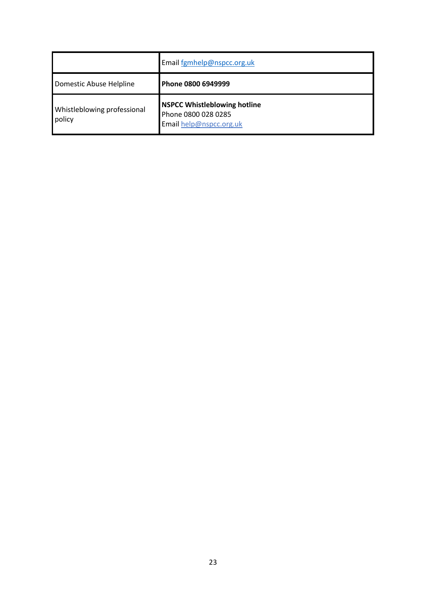|                                       | Email fgmhelp@nspcc.org.uk                                                            |
|---------------------------------------|---------------------------------------------------------------------------------------|
| Domestic Abuse Helpline               | Phone 0800 6949999                                                                    |
| Whistleblowing professional<br>policy | <b>NSPCC Whistleblowing hotline</b><br>Phone 0800 028 0285<br>Email help@nspcc.org.uk |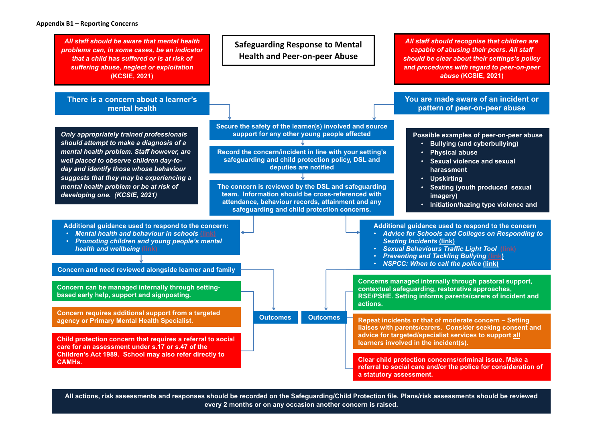All actions, risk assessments and responses should be recorded on the Safeguarding/Child Protection file. Plans/risk assessments should be reviewed **every 2 months or on any occasion another concern is raised.** 

**You are made aware of an incident or pattern of peer-on-peer abuse**

*All staff should recognise that children are capable of abusing their peers. All staff should be clear about their settings's policy and procedures with regard to peer-on-peer abuse* **(KCSIE, 2021)**

**Possible examples of peer-on-peer abuse** • **Bullying (and cyberbullying)**  • **Sexual violence and sexual** 

• **Sexting (youth produced sexual** 

• **Initiation/hazing type violence and** 

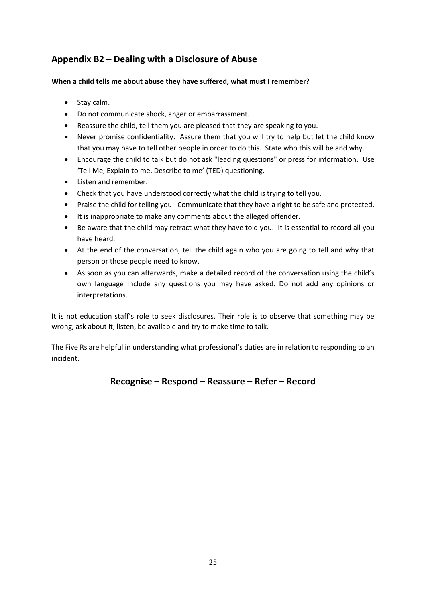## **Appendix B2 – Dealing with a Disclosure of Abuse**

### **When a child tells me about abuse they have suffered, what must I remember?**

- Stay calm.
- Do not communicate shock, anger or embarrassment.
- Reassure the child, tell them you are pleased that they are speaking to you.
- Never promise confidentiality. Assure them that you will try to help but let the child know that you may have to tell other people in order to do this. State who this will be and why.
- Encourage the child to talk but do not ask "leading questions" or press for information. Use 'Tell Me, Explain to me, Describe to me' (TED) questioning.
- Listen and remember.
- Check that you have understood correctly what the child is trying to tell you.
- Praise the child for telling you. Communicate that they have a right to be safe and protected.
- It is inappropriate to make any comments about the alleged offender.
- Be aware that the child may retract what they have told you. It is essential to record all you have heard.
- At the end of the conversation, tell the child again who you are going to tell and why that person or those people need to know.
- As soon as you can afterwards, make a detailed record of the conversation using the child's own language Include any questions you may have asked. Do not add any opinions or interpretations.

It is not education staff's role to seek disclosures. Their role is to observe that something may be wrong, ask about it, listen, be available and try to make time to talk.

The Five Rs are helpful in understanding what professional's duties are in relation to responding to an incident.

## **Recognise – Respond – Reassure – Refer – Record**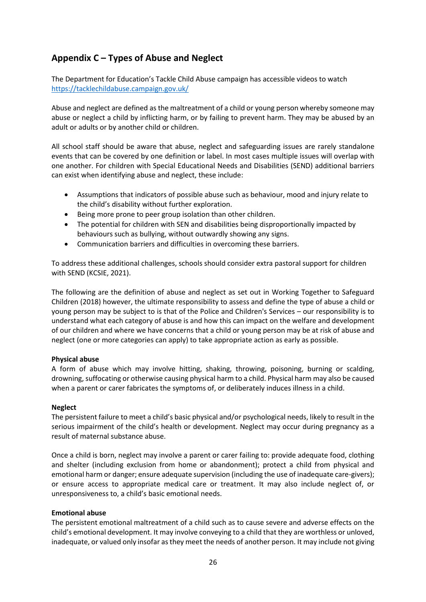## **Appendix C – Types of Abuse and Neglect**

The Department for Education's Tackle Child Abuse campaign has accessible videos to watch <https://tacklechildabuse.campaign.gov.uk/>

Abuse and neglect are defined as the maltreatment of a child or young person whereby someone may abuse or neglect a child by inflicting harm, or by failing to prevent harm. They may be abused by an adult or adults or by another child or children.

All school staff should be aware that abuse, neglect and safeguarding issues are rarely standalone events that can be covered by one definition or label. In most cases multiple issues will overlap with one another. For children with Special Educational Needs and Disabilities (SEND) additional barriers can exist when identifying abuse and neglect, these include:

- Assumptions that indicators of possible abuse such as behaviour, mood and injury relate to the child's disability without further exploration.
- Being more prone to peer group isolation than other children.
- The potential for children with SEN and disabilities being disproportionally impacted by behaviours such as bullying, without outwardly showing any signs.
- Communication barriers and difficulties in overcoming these barriers.

To address these additional challenges, schools should consider extra pastoral support for children with SEND (KCSIE, 2021).

The following are the definition of abuse and neglect as set out in Working Together to Safeguard Children (2018) however, the ultimate responsibility to assess and define the type of abuse a child or young person may be subject to is that of the Police and Children's Services – our responsibility is to understand what each category of abuse is and how this can impact on the welfare and development of our children and where we have concerns that a child or young person may be at risk of abuse and neglect (one or more categories can apply) to take appropriate action as early as possible.

#### **Physical abuse**

A form of abuse which may involve hitting, shaking, throwing, poisoning, burning or scalding, drowning, suffocating or otherwise causing physical harm to a child. Physical harm may also be caused when a parent or carer fabricates the symptoms of, or deliberately induces illness in a child.

#### **Neglect**

The persistent failure to meet a child's basic physical and/or psychological needs, likely to result in the serious impairment of the child's health or development. Neglect may occur during pregnancy as a result of maternal substance abuse.

Once a child is born, neglect may involve a parent or carer failing to: provide adequate food, clothing and shelter (including exclusion from home or abandonment); protect a child from physical and emotional harm or danger; ensure adequate supervision (including the use of inadequate care-givers); or ensure access to appropriate medical care or treatment. It may also include neglect of, or unresponsiveness to, a child's basic emotional needs.

#### **Emotional abuse**

The persistent emotional maltreatment of a child such as to cause severe and adverse effects on the child's emotional development. It may involve conveying to a child that they are worthless or unloved, inadequate, or valued only insofar as they meet the needs of another person. It may include not giving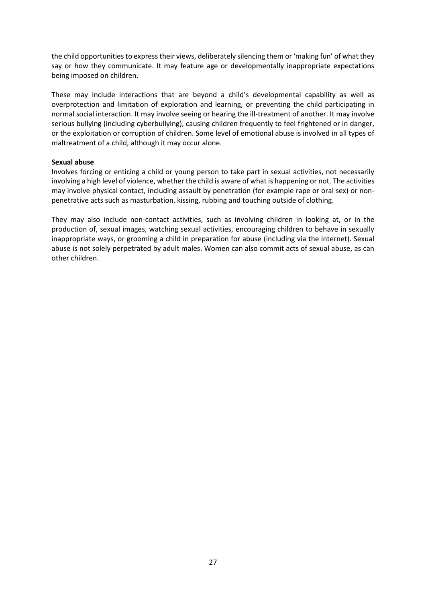the child opportunities to express their views, deliberately silencing them or 'making fun' of what they say or how they communicate. It may feature age or developmentally inappropriate expectations being imposed on children.

These may include interactions that are beyond a child's developmental capability as well as overprotection and limitation of exploration and learning, or preventing the child participating in normal social interaction. It may involve seeing or hearing the ill-treatment of another. It may involve serious bullying (including cyberbullying), causing children frequently to feel frightened or in danger, or the exploitation or corruption of children. Some level of emotional abuse is involved in all types of maltreatment of a child, although it may occur alone.

#### **Sexual abuse**

Involves forcing or enticing a child or young person to take part in sexual activities, not necessarily involving a high level of violence, whether the child is aware of what is happening or not. The activities may involve physical contact, including assault by penetration (for example rape or oral sex) or nonpenetrative acts such as masturbation, kissing, rubbing and touching outside of clothing.

They may also include non-contact activities, such as involving children in looking at, or in the production of, sexual images, watching sexual activities, encouraging children to behave in sexually inappropriate ways, or grooming a child in preparation for abuse (including via the internet). Sexual abuse is not solely perpetrated by adult males. Women can also commit acts of sexual abuse, as can other children.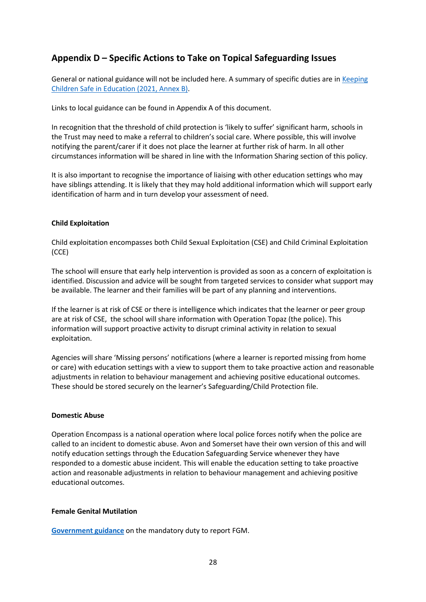## **Appendix D – Specific Actions to Take on Topical Safeguarding Issues**

General or national guidance will not be included here. A summary of specific duties are in [Keeping](https://www.gov.uk/government/publications/keeping-children-safe-in-education--2)  [Children Safe in Education \(2021,](https://www.gov.uk/government/publications/keeping-children-safe-in-education--2) Annex B).

Links to local guidance can be found in Appendix A of this document.

In recognition that the threshold of child protection is 'likely to suffer' significant harm, schools in the Trust may need to make a referral to children's social care. Where possible, this will involve notifying the parent/carer if it does not place the learner at further risk of harm. In all other circumstances information will be shared in line with the Information Sharing section of this policy.

It is also important to recognise the importance of liaising with other education settings who may have siblings attending. It is likely that they may hold additional information which will support early identification of harm and in turn develop your assessment of need.

#### **Child Exploitation**

Child exploitation encompasses both Child Sexual Exploitation (CSE) and Child Criminal Exploitation (CCE)

The school will ensure that early help intervention is provided as soon as a concern of exploitation is identified. Discussion and advice will be sought from targeted services to consider what support may be available. The learner and their families will be part of any planning and interventions.

If the learner is at risk of CSE or there is intelligence which indicates that the learner or peer group are at risk of CSE, the school will share information with Operation Topaz (the police). This information will support proactive activity to disrupt criminal activity in relation to sexual exploitation.

Agencies will share 'Missing persons' notifications (where a learner is reported missing from home or care) with education settings with a view to support them to take proactive action and reasonable adjustments in relation to behaviour management and achieving positive educational outcomes. These should be stored securely on the learner's Safeguarding/Child Protection file.

#### **Domestic Abuse**

Operation Encompass is a national operation where local police forces notify when the police are called to an incident to domestic abuse. Avon and Somerset have their own version of this and will notify education settings through the Education Safeguarding Service whenever they have responded to a domestic abuse incident. This will enable the education setting to take proactive action and reasonable adjustments in relation to behaviour management and achieving positive educational outcomes.

#### **Female Genital Mutilation**

**[Government guidance](https://assets.publishing.service.gov.uk/government/uploads/system/uploads/attachment_data/file/573782/FGM_Mandatory_Reporting_-_procedural_information_nov16_FINAL.pdf)** on the mandatory duty to report FGM.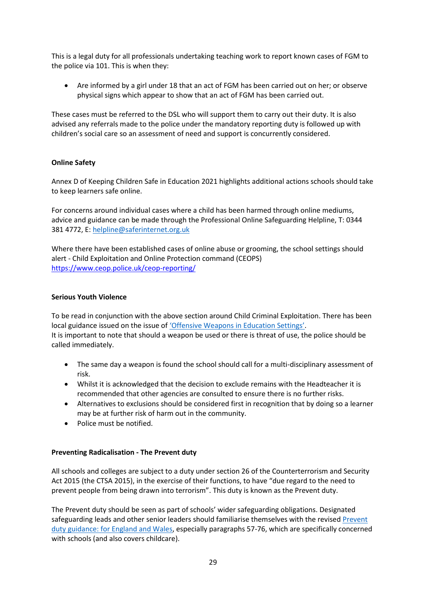This is a legal duty for all professionals undertaking teaching work to report known cases of FGM to the police via 101. This is when they:

• Are informed by a girl under 18 that an act of FGM has been carried out on her; or observe physical signs which appear to show that an act of FGM has been carried out.

These cases must be referred to the DSL who will support them to carry out their duty. It is also advised any referrals made to the police under the mandatory reporting duty is followed up with children's social care so an assessment of need and support is concurrently considered.

#### **Online Safety**

Annex D of Keeping Children Safe in Education 2021 highlights additional actions schools should take to keep learners safe online.

For concerns around individual cases where a child has been harmed through online mediums, advice and guidance can be made through the Professional Online Safeguarding Helpline, T: 0344 381 4772, E[: helpline@saferinternet.org.uk](mailto:helpline@saferinternet.org.uk)

Where there have been established cases of online abuse or grooming, the school settings should alert - Child Exploitation and Online Protection command (CEOPS) <https://www.ceop.police.uk/ceop-reporting/>

#### **Serious Youth Violence**

To be read in conjunction with the above section around Child Criminal Exploitation. There has been local guidance issued on the issue of ['Offensive Weapons in Education Settings'](https://drive.google.com/file/d/1env2AyL0OgklN9oHEhtNi0QfK1kdcg8T/view?usp=sharing). It is important to note that should a weapon be used or there is threat of use, the police should be called immediately.

- The same day a weapon is found the school should call for a multi-disciplinary assessment of risk.
- Whilst it is acknowledged that the decision to exclude remains with the Headteacher it is recommended that other agencies are consulted to ensure there is no further risks.
- Alternatives to exclusions should be considered first in recognition that by doing so a learner may be at further risk of harm out in the community.
- Police must be notified.

#### **Preventing Radicalisation - The Prevent duty**

All schools and colleges are subject to a duty under section 26 of the Counterterrorism and Security Act 2015 (the CTSA 2015), in the exercise of their functions, to have "due regard to the need to prevent people from being drawn into terrorism". This duty is known as the Prevent duty.

The Prevent duty should be seen as part of schools' wider safeguarding obligations. Designated safeguarding leads and other senior leaders should familiarise themselves with the revised Prevent [duty guidance: for England and Wales,](https://www.gov.uk/government/publications/prevent-duty-guidance) especially paragraphs 57-76, which are specifically concerned with schools (and also covers childcare).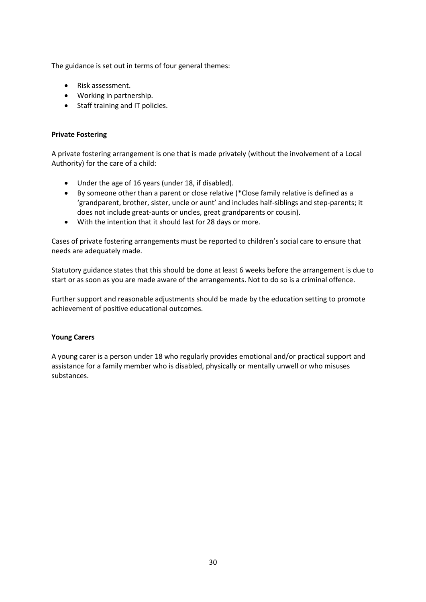The guidance is set out in terms of four general themes:

- Risk assessment.
- Working in partnership.
- Staff training and IT policies.

#### **Private Fostering**

A private fostering arrangement is one that is made privately (without the involvement of a Local Authority) for the care of a child:

- Under the age of 16 years (under 18, if disabled).
- By someone other than a parent or close relative (\*Close family relative is defined as a 'grandparent, brother, sister, uncle or aunt' and includes half-siblings and step-parents; it does not include great-aunts or uncles, great grandparents or cousin).
- With the intention that it should last for 28 days or more.

Cases of private fostering arrangements must be reported to children's social care to ensure that needs are adequately made.

Statutory guidance states that this should be done at least 6 weeks before the arrangement is due to start or as soon as you are made aware of the arrangements. Not to do so is a criminal offence.

Further support and reasonable adjustments should be made by the education setting to promote achievement of positive educational outcomes.

#### **Young Carers**

A young carer is a person under 18 who regularly provides emotional and/or practical support and assistance for a family member who is disabled, physically or mentally unwell or who misuses substances.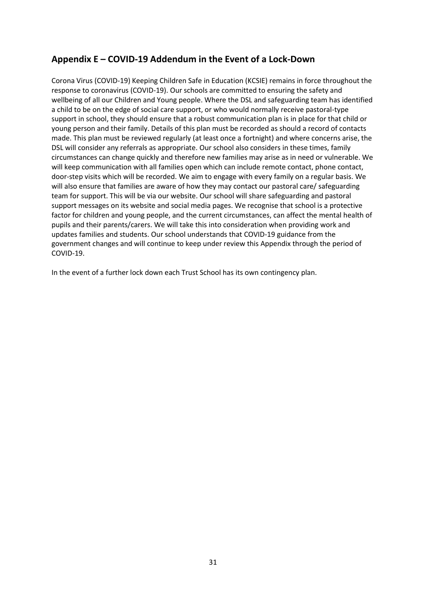## **Appendix E – COVID-19 Addendum in the Event of a Lock-Down**

Corona Virus (COVID-19) Keeping Children Safe in Education (KCSIE) remains in force throughout the response to coronavirus (COVID-19). Our schools are committed to ensuring the safety and wellbeing of all our Children and Young people. Where the DSL and safeguarding team has identified a child to be on the edge of social care support, or who would normally receive pastoral-type support in school, they should ensure that a robust communication plan is in place for that child or young person and their family. Details of this plan must be recorded as should a record of contacts made. This plan must be reviewed regularly (at least once a fortnight) and where concerns arise, the DSL will consider any referrals as appropriate. Our school also considers in these times, family circumstances can change quickly and therefore new families may arise as in need or vulnerable. We will keep communication with all families open which can include remote contact, phone contact, door-step visits which will be recorded. We aim to engage with every family on a regular basis. We will also ensure that families are aware of how they may contact our pastoral care/ safeguarding team for support. This will be via our website. Our school will share safeguarding and pastoral support messages on its website and social media pages. We recognise that school is a protective factor for children and young people, and the current circumstances, can affect the mental health of pupils and their parents/carers. We will take this into consideration when providing work and updates families and students. Our school understands that COVID-19 guidance from the government changes and will continue to keep under review this Appendix through the period of COVID-19.

In the event of a further lock down each Trust School has its own contingency plan.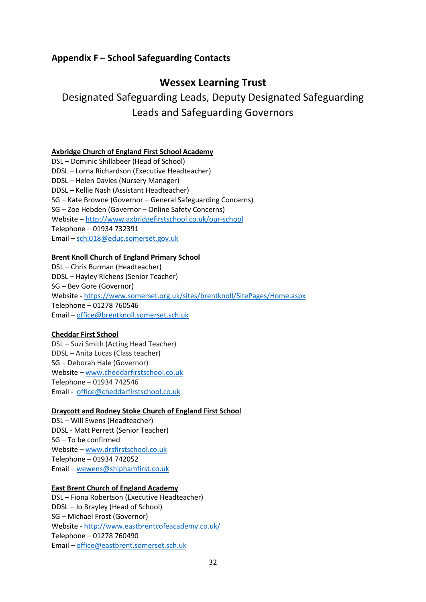## **Appendix F – School Safeguarding Contacts**

## **Wessex Learning Trust**

# Designated Safeguarding Leads, Deputy Designated Safeguarding Leads and Safeguarding Governors

## **Axbridge Church of England First School Academy**

DSL – Dominic Shillabeer (Head of School) DDSL – Lorna Richardson (Executive Headteacher) DDSL – Helen Davies (Nursery Manager) DDSL – Kellie Nash (Assistant Headteacher) SG – Kate Browne (Governor – General Safeguarding Concerns) SG – Zoe Hebden (Governor – Online Safety Concerns) Website – <http://www.axbridgefirstschool.co.uk/our-school> Telephone – 01934 732391 Email – [sch.018@educ.somerset.gov.uk](mailto:sch.018@educ.somerset.gov.uk)

### **Brent Knoll Church of England Primary School**

DSL – Chris Burman (Headteacher) DDSL – Hayley Richens (Senior Teacher) SG – Bev Gore (Governor) Website - <https://www.somerset.org.uk/sites/brentknoll/SitePages/Home.aspx> Telephone – 01278 760546 Email – [office@brentknoll.somerset.sch.uk](mailto:office@brentknoll.somerset.sch.uk)

### **Cheddar First School**

DSL – Suzi Smith (Acting Head Teacher) DDSL – Anita Lucas (Class teacher) SG – Deborah Hale (Governor) Website – [www.cheddarfirstschool.co.uk](http://www.cheddarfirstschool.co.uk/) Telephone – 01934 742546 Email - [office@cheddarfirstschool.co.uk](mailto:office@cheddarfirstschool.co.uk)

### **Draycott and Rodney Stoke Church of England First School**

DSL – Will Ewens (Headteacher) DDSL - Matt Perrett (Senior Teacher) SG – To be confirmed Website – [www.drsfirstschool.co.uk](http://www.drsfirstschool.co.uk/)  Telephone – 01934 742052 Email – [wewens@shiphamfirst.co.uk](mailto:wewens@shiphamfirst.co.uk)

### **East Brent Church of England Academy**

DSL – Fiona Robertson (Executive Headteacher) DDSL – Jo Brayley (Head of School) SG – Michael Frost (Governor) Website - <http://www.eastbrentcofeacademy.co.uk/> Telephone – 01278 760490 Email – [office@eastbrent.somerset.sch.uk](mailto:office@eastbrent.somerset.sch.uk)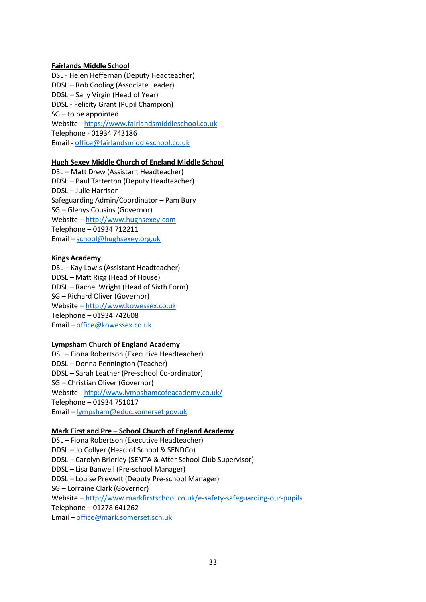#### **Fairlands Middle School**

DSL - Helen Heffernan (Deputy Headteacher) DDSL – Rob Cooling (Associate Leader) DDSL – Sally Virgin (Head of Year) DDSL - Felicity Grant (Pupil Champion) SG – to be appointed Website - https://www.fairlandsmiddleschool.co.uk Telephone - 01934 743186 Email - [office@fairlandsmiddleschool.co.uk](mailto:office@fairlandsmiddleschool.co.uk)

#### **Hugh Sexey Middle Church of England Middle School**

DSL – Matt Drew (Assistant Headteacher) DDSL – Paul Tatterton (Deputy Headteacher) DDSL – Julie Harrison Safeguarding Admin/Coordinator – Pam Bury SG – Glenys Cousins (Governor) Website – [http://www.hughsexey.com](http://www.hughsexey.com/) Telephone – 01934 712211 Email – [school@hughsexey.org.uk](mailto:school@hughsexey.org.uk)

#### **Kings Academy**

DSL – Kay Lowis (Assistant Headteacher) DDSL – Matt Rigg (Head of House) DDSL – Rachel Wright (Head of Sixth Form) SG – Richard Oliver (Governor) Website – [http://www.kowessex.co.uk](http://www.kowessex.co.uk/) Telephone – 01934 742608 Email – [office@kowessex.co.uk](mailto:office@kowessex.co.uk)

#### **Lympsham Church of England Academy**

DSL – Fiona Robertson (Executive Headteacher) DDSL – Donna Pennington (Teacher) DDSL – Sarah Leather (Pre-school Co-ordinator) SG – Christian Oliver (Governor) Website - <http://www.lympshamcofeacademy.co.uk/> Telephone – 01934 751017 Email – [lympsham@educ.somerset.gov.uk](mailto:lympsham@educ.somerset.gov.uk)

### **Mark First and Pre – School Church of England Academy**

DSL – Fiona Robertson (Executive Headteacher) DDSL – Jo Collyer (Head of School & SENDCo) DDSL – Carolyn Brierley (SENTA & After School Club Supervisor) DDSL – Lisa Banwell (Pre-school Manager) DDSL – Louise Prewett (Deputy Pre-school Manager) SG – Lorraine Clark (Governor) Website – <http://www.markfirstschool.co.uk/e-safety-safeguarding-our-pupils> Telephone – 01278 641262 Email – [office@mark.somerset.sch.uk](mailto:office@mark.somerset.sch.uk)